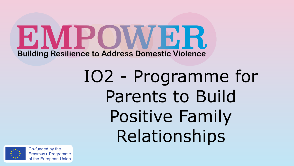E MPOWE R. **Building Resilience to Address Domestic Violence** 

> IO2 - Programme for Parents to Build Positive Family Relationships

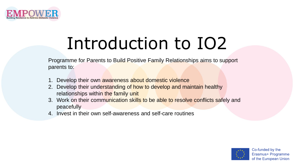

# Introduction to IO2

Programme for Parents to Build Positive Family Relationships aims to support parents to:

- 1. Develop their own awareness about domestic violence
- 2. Develop their understanding of how to develop and maintain healthy relationships within the family unit
- 3. Work on their communication skills to be able to resolve conflicts safely and peacefully
- 4. Invest in their own self-awareness and self-care routines

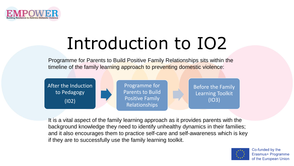

# Introduction to IO2

Programme for Parents to Build Positive Family Relationships sits within the timeline of the family learning approach to preventing domestic violence:



It is a vital aspect of the family learning approach as it provides parents with the background knowledge they need to identify unhealthy dynamics in their families; and it also encourages them to practice self-care and self-awareness which is key if they are to successfully use the family learning toolkit.

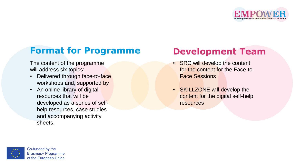

#### **Format for Programme**

The content of the programme will address six topics:

- Delivered through face-to-face workshops and, supported by
- An online library of digital resources that will be developed as a series of selfhelp resources, case studies and accompanying activity sheets.

#### **Development Team**

- SRC will develop the content for the content for the Face-to-Face Sessions
- SKILLZONE will develop the content for the digital self-help resources

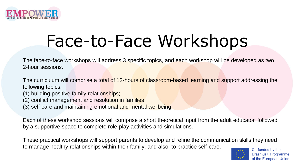

## Face-to-Face Workshops

The face-to-face workshops will address 3 specific topics, and each workshop will be developed as two 2-hour sessions.

The curriculum will comprise a total of 12-hours of classroom-based learning and support addressing the following topics:

- (1) building positive family relationships;
- (2) conflict management and resolution in families
- (3) self-care and maintaining emotional and mental wellbeing.

Each of these workshop sessions will comprise a short theoretical input from the adult educator, followed by a supportive space to complete role-play activities and simulations.

These practical workshops will support parents to develop and refine the communication skills they need to manage healthy relationships within their family; and also, to practice self-care.

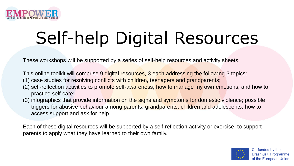

# Self-help Digital Resources

These workshops will be supported by a series of self-help resources and activity sheets.

This online toolkit will comprise 9 digital resources, 3 each addressing the following 3 topics:

- (1) case studies for resolving conflicts with children, teenagers and grandparents;
- (2) self-reflection activities to promote self-awareness, how to manage my own emotions, and how to practice self-care;
- (3) infographics that provide information on the signs and symptoms for domestic violence; possible triggers for abusive behaviour among parents, grandparents, children and adolescents; how to access support and ask for help.

Each of these digital resources will be supported by a self-reflection activity or exercise, to support parents to apply what they have learned to their own family.

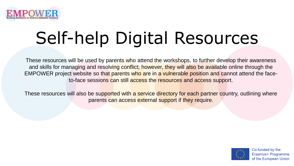

# Self-help Digital Resources

These resources will be used by parents who attend the workshops, to further develop their awareness and skills for managing and resolving conflict; however, they will also be available online through the EMPOWER project website so that parents who are in a vulnerable position and cannot attend the faceto-face sessions can still access the resources and access support.

These resources will also be supported with a service directory for each partner country, outlining where parents can access external support if they require.

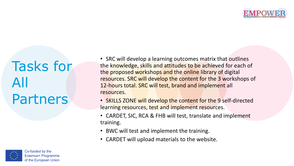

## Tasks for All Partners

• SRC will develop a learning outcomes matrix that outlines the knowledge, skills and attitudes to be achieved for each of the proposed workshops and the online library of digital resources. SRC will develop the content for the 3 workshops of 12-hours total. SRC will test, brand and implement all resources.

- SKILLS ZONE will develop the content for the 9 self-directed learning resources, test and implement resources.
- CARDET, SIC, RCA & FHB will test, translate and implement training.
- BWC will test and implement the training.
- CARDET will upload materials to the website.

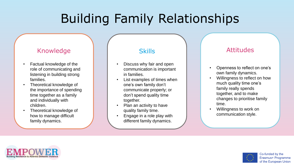## Building Family Relationships

#### Knowledge

- Factual knowledge of the role of communicating and listening in building strong families.
- Theoretical knowledge of the importance of spending time together as a family and individually with children.
- Theoretical knowledge of how to manage difficult family dynamics.

#### **Skills**

- Discuss why fair and open communication is important in families.
- List examples of times when one's own family don't communicate properly; or don't spend quality time together.
- Plan an activity to have quality family time.
- Engage in a role play with different family dynamics.

- Openness to reflect on one's own family dynamics.
- Willingness to reflect on how much quality time one's family really spends together, and to make changes to prioritise family time.
- Willingness to work on communication style.



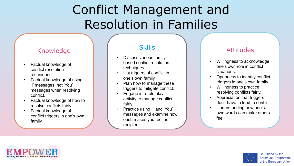### Conflict Management and Resolution in Families

#### Knowledge

- Factual knowledge of conflict resolution techniques.
- Factual knowledge of using 'I' messages, not 'You' messages when resolving conflict.
- Factual knowledge of how to resolve conflicts fairly.
- Factual knowledge of conflict triggers in one's own family.

#### **Skills**

- Discuss various familybased conflict resolution techniques.
- List triggers of conflict in one's own family.
- Plan how to manage these triggers to mitigate conflict.
- Engage in a role play activity to manage conflict fairly.
- Practice using 'I' and 'You' messages and examine how each makes you feel as recipient.

- Willingness to acknowledge one's own role in conflict situations.
- Openness to identify conflict triggers in one's own family.
- Willingness to practice resolving conflicts fairly.
- Appreciation that triggers don't have to lead to conflict.
- Understanding how one's own words can make others feel.



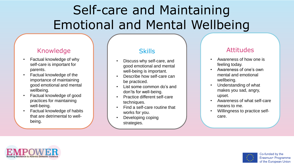## Self-care and Maintaining Emotional and Mental Wellbeing

#### Knowledge

- Factual knowledge of why self-care is important for parents.
- Factual knowledge of the importance of maintaining good emotional and mental wellbeing.
- Factual knowledge of good practices for maintaining well-being.
- Factual knowledge of habits that are detrimental to wellbeing.

#### **Skills**

- Discuss why self-care, and good emotional and mental well-being is important.
- Describe how self-care can be practiced.
- List some common do's and don'ts for well-being.
- Practice different self-care techniques.
- Find a self-care routine that works for you.
- Developing coping strategies.

- Awareness of how one is feeling today.
- Awareness of one's own mental and emotional wellbeing.
- Understanding of what makes you sad, angry, upset.
- Awareness of what self-care means to me.
- Willingness to practice selfcare.



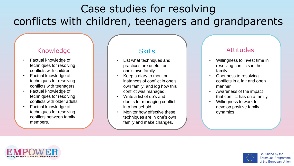### Case studies for resolving conflicts with children, teenagers and grandparents

#### Knowledge

- Factual knowledge of techniques for resolving conflicts with children.
- Factual knowledge of techniques for resolving conflicts with teenagers.
- Factual knowledge of techniques for resolving conflicts with older adults.
- Factual knowledge of techniques for resolving conflicts between family members.

#### **Skills**

- List what techniques and practices are useful for one's own family.
- Keep a diary to monitor instances of conflict in one's own family; and log how this conflict was managed.
- Write a list of do's and don'ts for managing conflict in a household.
- Monitor how effective these techniques are in one's own family and make changes.

- Willingness to invest time in resolving conflicts in the family.
- Openness to resolving conflicts in a fair and open manner.
- Awareness of the impact that conflict has on a family.
- Willingness to work to develop positive family dynamics.



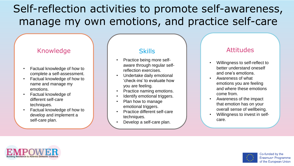### Self-reflection activities to promote self-awareness, manage my own emotions, and practice self-care

#### Knowledge

- Factual knowledge of how to complete a self-assessment.
- Factual knowledge of how to name and manage my emotions.
- Factual knowledge of different self-care techniques.
- Factual knowledge of how to develop and implement a self-care plan.

#### **Skills**

- Practice being more selfaware through regular selfreflection exercises.
- Undertake daily emotional 'check-ins' to evaluate how you are feeling.
- Practice naming emotions.
- Identify emotional triggers.
- Plan how to manage emotional triggers.
- Practice different self-care techniques.
- Develop a self-care plan.

- Willingness to self-reflect to better understand oneself and one's emotions.
- Awareness of what emotions you are feeling and where these emotions come from.
- Awareness of the impact that emotion has on your overall sense of wellbeing.
- Willingness to invest in selfcare.



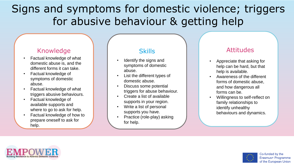### Signs and symptoms for domestic violence; triggers for abusive behaviour & getting help

#### Knowledge

- Factual knowledge of what domestic abuse is, and the different forms it can take.
- Factual knowledge of symptoms of domestic abuse.
- Factual knowledge of what triggers abusive behaviours.
- Factual knowledge of available supports and where to go to ask for help.
- Factual knowledge of how to prepare oneself to ask for help.

#### **Skills**

- Identify the signs and symptoms of domestic abuse.
- List the different types of domestic abuse.
- Discuss some potential triggers for abuse behaviour.
- Create a list of available supports in your region.
- Write a list of personal supports you have.
- Practice (role-play) asking for help.

- Appreciate that asking for help can be hard, but that help is available.
- Awareness of the different forms of domestic abuse, and how dangerous all forms can be.
- Willingness to self-reflect on family relationships to identify unhealthy behaviours and dynamics.



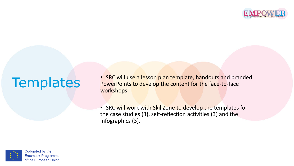

## **Templates**

• SRC will use a lesson plan template, handouts and branded PowerPoints to develop the content for the face-to-face workshops.

• SRC will work with SkillZone to develop the templates for the case studies (3), self-reflection activities (3) and the infographics (3).